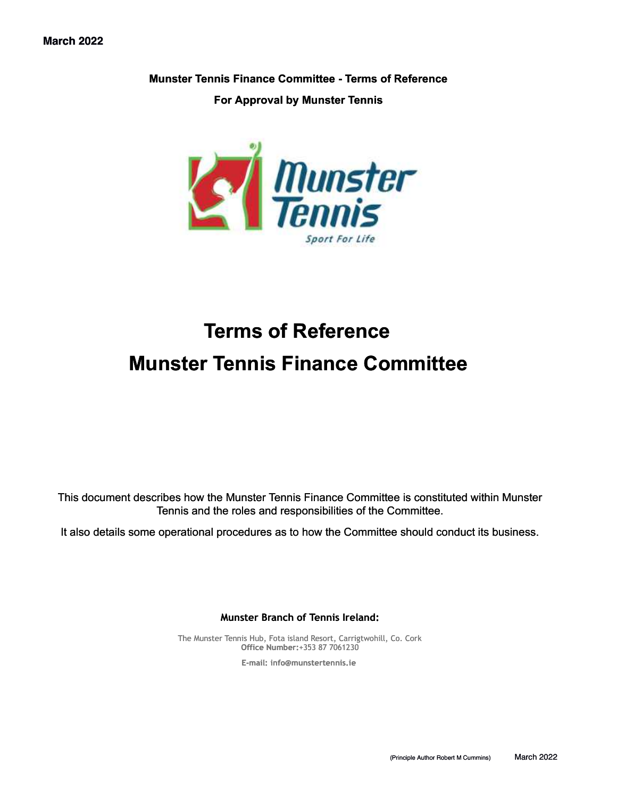**Munster Tennis Finance Committee - Terms of Reference** 

**For Approval by Munster Tennis** 



# **Terms of Reference Munster Tennis Finance Committee**

This document describes how the Munster Tennis Finance Committee is constituted within Munster Tennis and the roles and responsibilities of the Committee.

It also details some operational procedures as to how the Committee should conduct its business.

**Munster Branch of Tennis Ireland:**

The Munster Tennis Hub, Fota island Resort, Carrigtwohill, Co. Cork **Office Number:**+353 87 7061230

**E-mail: [info@munstertennis.ie](mailto:info@munstertennis.ie)**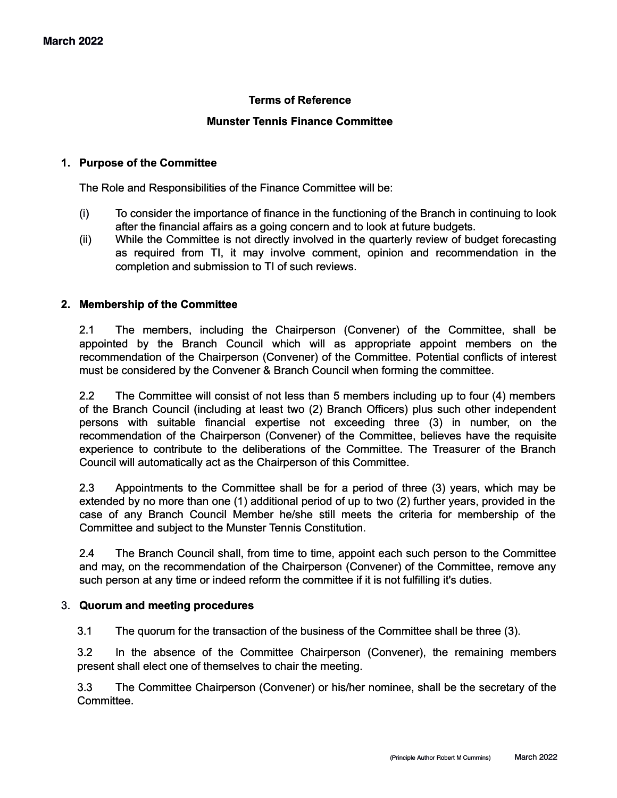## **Terms of Reference**

#### **Munster Tennis Finance Committee**

#### **1. Purpose of the Committee**

The Role and Responsibilities of the Finance Committee will be:

- (i) To consider the importance of finance in the functioning of the Branch in continuing to look after the financial affairs as a going concern and to look at future budgets.
- (ii) While the Committee is not directly involved in the quarterly review of budget forecasting as required from TI, it may involve comment, opinion and recommendation in the completion and submission to TI of such reviews.

## **2. Membership of the Committee**

2.1 The members, including the Chairperson (Convener) of the Committee, shall be appointed by the Branch Council which will as appropriate appoint members on the recommendation of the Chairperson (Convener) of the Committee. Potential conflicts of interest must be considered by the Convener & Branch Council when forming the committee.

2.2 The Committee will consist of not less than 5 members including up to four (4) members of the Branch Council (including at least two (2) Branch Officers) plus such other independent persons with suitable financial expertise not exceeding three (3) in number, on the recommendation of the Chairperson (Convener) of the Committee, believes have the requisite experience to contribute to the deliberations of the Committee. The Treasurer of the Branch Council will automatically act as the Chairperson of this Committee.

2.3 Appointments to the Committee shall be for a period of three (3) years, which may be extended by no more than one (1) additional period of up to two (2) further years, provided in the case of any Branch Council Member he/she still meets the criteria for membership of the Committee and subject to the Munster Tennis Constitution.

2.4 The Branch Council shall, from time to time, appoint each such person to the Committee and may, on the recommendation of the Chairperson (Convener) of the Committee, remove any such person at any time or indeed reform the committee if it is not fulfilling it's duties.

#### 3. **Quorum and meeting procedures**

3.1 The quorum for the transaction of the business of the Committee shall be three (3).

3.2 In the absence of the Committee Chairperson (Convener), the remaining members present shall elect one of themselves to chair the meeting.

3.3 The Committee Chairperson (Convener) or his/her nominee, shall be the secretary of the **Committee.**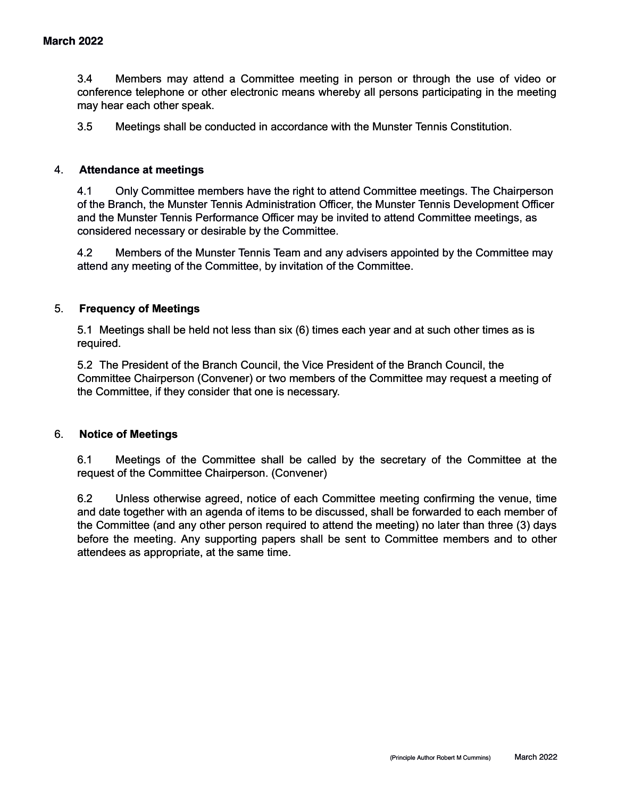3.4 Members may attend a Committee meeting in person or through the use of video or conference telephone or other electronic means whereby all persons participating in the meeting may hear each other speak.

3.5 Meetings shall be conducted in accordance with the Munster Tennis Constitution.

## 4. **Attendance at meetings**

4.1 Only Committee members have the right to attend Committee meetings. The Chairperson of the Branch, the Munster Tennis Administration Officer, the Munster Tennis Development Officer and the Munster Tennis Performance Officer may be invited to attend Committee meetings, as considered necessary or desirable by the Committee.

4.2 Members of the Munster Tennis Team and any advisers appointed by the Committee may attend any meeting of the Committee, by invitation of the Committee.

## 5. **Frequency of Meetings**

5.1 Meetings shall be held not less than six (6) times each year and at such other times as is required.

5.2 The President of the Branch Council, the Vice President of the Branch Council, the Committee Chairperson (Convener) or two members of the Committee may request a meeting of the Committee, if they consider that one is necessary.

#### 6. **Notice of Meetings**

6.1 Meetings of the Committee shall be called by the secretary of the Committee at the request of the Committee Chairperson. (Convener)

6.2 Unless otherwise agreed, notice of each Committee meeting confirming the venue, time and date together with an agenda of items to be discussed, shall be forwarded to each member of the Committee (and any other person required to attend the meeting) no later than three (3) days before the meeting. Any supporting papers shall be sent to Committee members and to other attendees as appropriate, at the same time.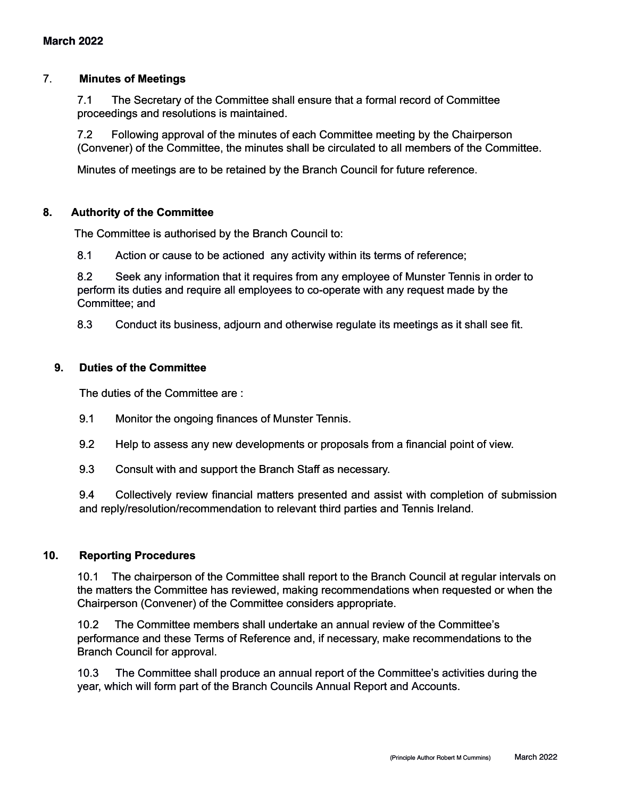## 7. **Minutes of Meetings**

7.1 The Secretary of the Committee shall ensure that a formal record of Committee proceedings and resolutions is maintained.

7.2 Following approval of the minutes of each Committee meeting by the Chairperson (Convener) of the Committee, the minutes shall be circulated to all members of the Committee.

Minutes of meetings are to be retained by the Branch Council for future reference.

## **8. Authority of the Committee**

The Committee is authorised by the Branch Council to:

8.1 Action or cause to be actioned any activity within its terms of reference;

8.2 Seek any information that it requires from any employee of Munster Tennis in order to perform its duties and require all employees to co-operate with any request made by the Committee; and

8.3 Conduct its business, adjourn and otherwise regulate its meetings as it shall see fit.

## **9. Duties of the Committee**

The duties of the Committee are :

- 9.1 Monitor the ongoing finances of Munster Tennis.
- 9.2 Help to assess any new developments or proposals from a financial point of view.
- 9.3 Consult with and support the Branch Staff as necessary.

9.4 Collectively review financial matters presented and assist with completion of submission and reply/resolution/recommendation to relevant third parties and Tennis Ireland.

## **10. Reporting Procedures**

10.1 The chairperson of the Committee shall report to the Branch Council at regular intervals on the matters the Committee has reviewed, making recommendations when requested or when the Chairperson (Convener) of the Committee considers appropriate.

10.2 The Committee members shall undertake an annual review of the Committee's performance and these Terms of Reference and, if necessary, make recommendations to the Branch Council for approval.

10.3 The Committee shall produce an annual report of the Committee's activities during the year, which will form part of the Branch Councils Annual Report and Accounts.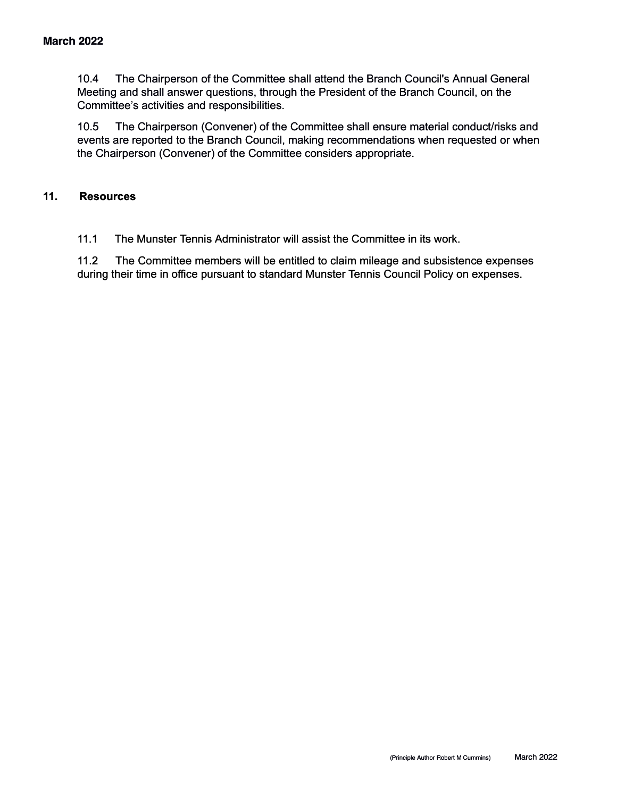10.4 The Chairperson of the Committee shall attend the Branch Council's Annual General Meeting and shall answer questions, through the President of the Branch Council, on the Committee's activities and responsibilities.

10.5 The Chairperson (Convener) of the Committee shall ensure material conduct/risks and events are reported to the Branch Council, making recommendations when requested or when the Chairperson (Convener) of the Committee considers appropriate.

## **11. Resources**

11.1 The Munster Tennis Administrator will assist the Committee in its work.

11.2 The Committee members will be entitled to claim mileage and subsistence expenses during their time in office pursuant to standard Munster Tennis Council Policy on expenses.